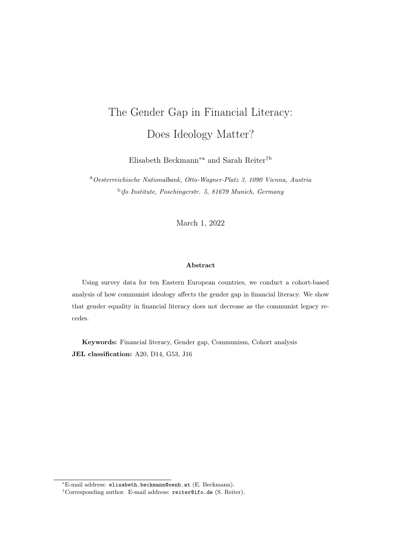# The Gender Gap in Financial Literacy: Does Ideology Matter?

Elisabeth Beckmann∗a and Sarah Reiter†b

<sup>a</sup>Oesterreichische Nationalbank, Otto-Wagner-Platz 3, 1090 Vienna, Austria <sup>b</sup>ifo Institute, Poschingerstr. 5, 81679 Munich, Germany

March 1, 2022

#### Abstract

Using survey data for ten Eastern European countries, we conduct a cohort-based analysis of how communist ideology affects the gender gap in financial literacy. We show that gender equality in financial literacy does not decrease as the communist legacy recedes.

Keywords: Financial literacy, Gender gap, Communism, Cohort analysis JEL classification: A20, D14, G53, J16

<sup>∗</sup>E-mail address: [elisabeth.beckmann@oenb.at](mailto:elisabeth.beckmann@oenb.at) (E. Beckmann).

<sup>†</sup>Corresponding author. E-mail address: [reiter@ifo.de](mailto:reiter@ifo.de) (S. Reiter).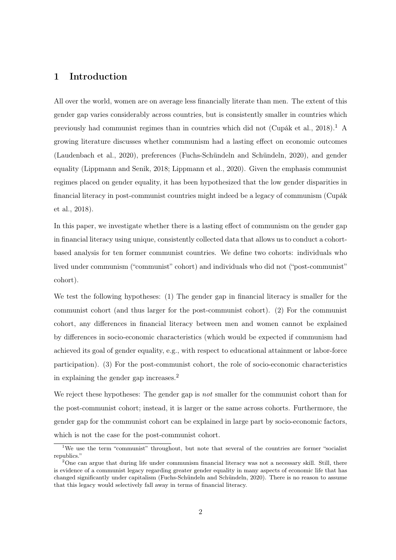## 1 Introduction

All over the world, women are on average less financially literate than men. The extent of this gender gap varies considerably across countries, but is consistently smaller in countries which previously had communist regimes than in countries which did not [\(Cupák et al.,](#page-8-0) [2018\)](#page-8-0).<sup>[1](#page-1-0)</sup> A growing literature discusses whether communism had a lasting effect on economic outcomes [\(Laudenbach et al.,](#page-8-1) [2020\)](#page-8-1), preferences [\(Fuchs-Schündeln and Schündeln,](#page-8-2) [2020\)](#page-8-2), and gender equality [\(Lippmann and Senik,](#page-8-3) [2018;](#page-8-3) [Lippmann et al.,](#page-8-4) [2020\)](#page-8-4). Given the emphasis communist regimes placed on gender equality, it has been hypothesized that the low gender disparities in financial literacy in post-communist countries might indeed be a legacy of communism [\(Cupák](#page-8-0) [et al.,](#page-8-0) [2018\)](#page-8-0).

In this paper, we investigate whether there is a lasting effect of communism on the gender gap in financial literacy using unique, consistently collected data that allows us to conduct a cohortbased analysis for ten former communist countries. We define two cohorts: individuals who lived under communism ("communist" cohort) and individuals who did not ("post-communist" cohort).

We test the following hypotheses: (1) The gender gap in financial literacy is smaller for the communist cohort (and thus larger for the post-communist cohort). (2) For the communist cohort, any differences in financial literacy between men and women cannot be explained by differences in socio-economic characteristics (which would be expected if communism had achieved its goal of gender equality, e.g., with respect to educational attainment or labor-force participation). (3) For the post-communist cohort, the role of socio-economic characteristics in explaining the gender gap increases.[2](#page-1-1)

We reject these hypotheses: The gender gap is *not* smaller for the communist cohort than for the post-communist cohort; instead, it is larger or the same across cohorts. Furthermore, the gender gap for the communist cohort can be explained in large part by socio-economic factors, which is not the case for the post-communist cohort.

<span id="page-1-0"></span><sup>&</sup>lt;sup>1</sup>We use the term "communist" throughout, but note that several of the countries are former "socialist" republics."

<span id="page-1-1"></span><sup>&</sup>lt;sup>2</sup>One can argue that during life under communism financial literacy was not a necessary skill. Still, there is evidence of a communist legacy regarding greater gender equality in many aspects of economic life that has changed significantly under capitalism [\(Fuchs-Schündeln and Schündeln,](#page-8-2) [2020\)](#page-8-2). There is no reason to assume that this legacy would selectively fall away in terms of financial literacy.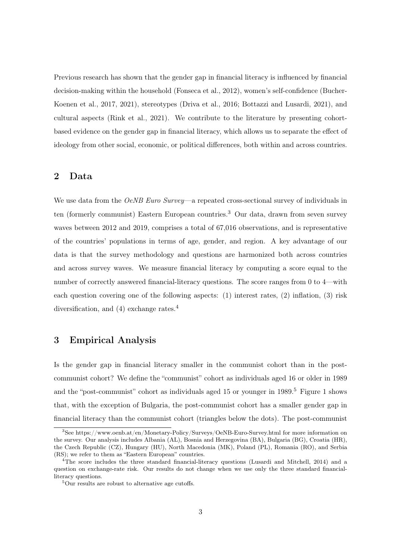Previous research has shown that the gender gap in financial literacy is influenced by financial decision-making within the household [\(Fonseca et al.,](#page-8-5) [2012\)](#page-8-5), women's self-confidence [\(Bucher-](#page-8-6)[Koenen et al.,](#page-8-6) [2017,](#page-8-6) [2021\)](#page-8-7), stereotypes [\(Driva et al.,](#page-8-8) [2016;](#page-8-8) [Bottazzi and Lusardi,](#page-8-9) [2021\)](#page-8-9), and cultural aspects [\(Rink et al.,](#page-8-10) [2021\)](#page-8-10). We contribute to the literature by presenting cohortbased evidence on the gender gap in financial literacy, which allows us to separate the effect of ideology from other social, economic, or political differences, both within and across countries.

## 2 Data

We use data from the *OeNB Euro Survey*—a repeated cross-sectional survey of individuals in ten (formerly communist) Eastern European countries.<sup>[3](#page-2-0)</sup> Our data, drawn from seven survey waves between 2012 and 2019, comprises a total of 67,016 observations, and is representative of the countries' populations in terms of age, gender, and region. A key advantage of our data is that the survey methodology and questions are harmonized both across countries and across survey waves. We measure financial literacy by computing a score equal to the number of correctly answered financial-literacy questions. The score ranges from 0 to 4—with each question covering one of the following aspects: (1) interest rates, (2) inflation, (3) risk diversification, and ([4](#page-2-1)) exchange rates.<sup>4</sup>

## 3 Empirical Analysis

Is the gender gap in financial literacy smaller in the communist cohort than in the postcommunist cohort? We define the "communist" cohort as individuals aged 16 or older in 1989 and the "post-communist" cohort as individuals aged 15 or younger in 1989.[5](#page-2-2) Figure [1](#page-3-0) shows that, with the exception of Bulgaria, the post-communist cohort has a smaller gender gap in financial literacy than the communist cohort (triangles below the dots). The post-communist

<span id="page-2-0"></span><sup>3</sup>See <https://www.oenb.at/en/Monetary-Policy/Surveys/OeNB-Euro-Survey.html> for more information on the survey. Our analysis includes Albania (AL), Bosnia and Herzegovina (BA), Bulgaria (BG), Croatia (HR), the Czech Republic (CZ), Hungary (HU), North Macedonia (MK), Poland (PL), Romania (RO), and Serbia (RS); we refer to them as "Eastern European" countries.

<span id="page-2-1"></span><sup>&</sup>lt;sup>4</sup>The score includes the three standard financial-literacy questions [\(Lusardi and Mitchell,](#page-8-11) [2014\)](#page-8-11) and a question on exchange-rate risk. Our results do not change when we use only the three standard financialliteracy questions.

<span id="page-2-2"></span><sup>&</sup>lt;sup>5</sup>Our results are robust to alternative age cutoffs.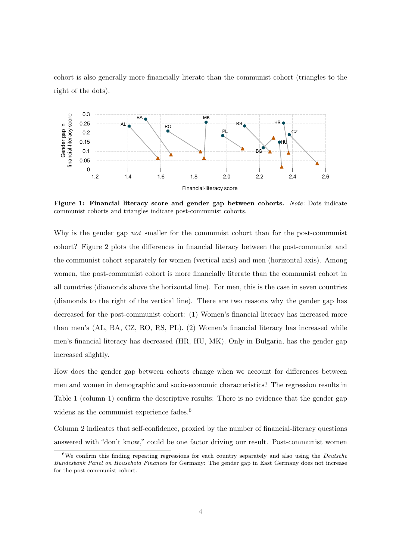cohort is also generally more financially literate than the communist cohort (triangles to the right of the dots).

<span id="page-3-0"></span>

Figure 1: Financial literacy score and gender gap between cohorts. Note: Dots indicate communist cohorts and triangles indicate post-communist cohorts.

Why is the gender gap *not* smaller for the communist cohort than for the post-communist cohort? Figure [2](#page-4-0) plots the differences in financial literacy between the post-communist and the communist cohort separately for women (vertical axis) and men (horizontal axis). Among women, the post-communist cohort is more financially literate than the communist cohort in all countries (diamonds above the horizontal line). For men, this is the case in seven countries (diamonds to the right of the vertical line). There are two reasons why the gender gap has decreased for the post-communist cohort: (1) Women's financial literacy has increased more than men's (AL, BA, CZ, RO, RS, PL). (2) Women's financial literacy has increased while men's financial literacy has decreased (HR, HU, MK). Only in Bulgaria, has the gender gap increased slightly.

How does the gender gap between cohorts change when we account for differences between men and women in demographic and socio-economic characteristics? The regression results in Table [1](#page-4-1) (column 1) confirm the descriptive results: There is no evidence that the gender gap widens as the communist experience fades.<sup>[6](#page-3-1)</sup>

Column 2 indicates that self-confidence, proxied by the number of financial-literacy questions answered with "don't know," could be one factor driving our result. Post-communist women

<span id="page-3-1"></span><sup>&</sup>lt;sup>6</sup>We confirm this finding repeating regressions for each country separately and also using the *Deutsche* Bundesbank Panel on Household Finances for Germany: The gender gap in East Germany does not increase for the post-communist cohort.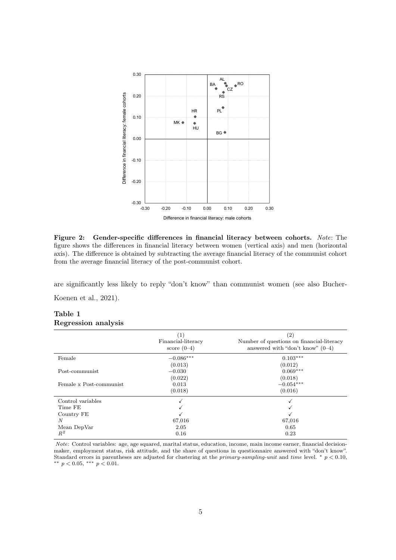<span id="page-4-0"></span>

Figure 2: Gender-specific differences in financial literacy between cohorts. Note: The figure shows the differences in financial literacy between women (vertical axis) and men (horizontal axis). The difference is obtained by subtracting the average financial literacy of the communist cohort from the average financial literacy of the post-communist cohort.

are significantly less likely to reply "don't know" than communist women (see also [Bucher-](#page-8-7)

[Koenen et al.,](#page-8-7) [2021\)](#page-8-7).

#### <span id="page-4-1"></span>Table 1 Regression analysis

|                         | $\left( 1\right)$<br>Financial-literacy<br>score $(0-4)$ | $\left( 2\right)$<br>Number of questions on financial-literacy<br>answered with "don't know" $(0-4)$ |
|-------------------------|----------------------------------------------------------|------------------------------------------------------------------------------------------------------|
| Female                  | $-0.086***$                                              | $0.103***$                                                                                           |
|                         | (0.013)                                                  | (0.012)                                                                                              |
| Post-communist          | $-0.030$                                                 | $0.069***$                                                                                           |
|                         | (0.022)                                                  | (0.018)                                                                                              |
| Female x Post-communist | 0.013                                                    | $-0.054***$                                                                                          |
|                         | (0.018)                                                  | (0.016)                                                                                              |
| Control variables       |                                                          |                                                                                                      |
| Time FE                 |                                                          |                                                                                                      |
| Country FE              |                                                          |                                                                                                      |
| N                       | 67,016                                                   | 67,016                                                                                               |
| Mean DepVar             | 2.05                                                     | 0.65                                                                                                 |
| $R^2$                   | 0.16                                                     | 0.23                                                                                                 |

Note: Control variables: age, age squared, marital status, education, income, main income earner, financial decisionmaker, employment status, risk attitude, and the share of questions in questionnaire answered with "don't know". Standard errors in parentheses are adjusted for clustering at the primary-sampling-unit and time level.  $* p < 0.10$ , \*\*  $p < 0.05$ , \*\*\*  $p < 0.01$ .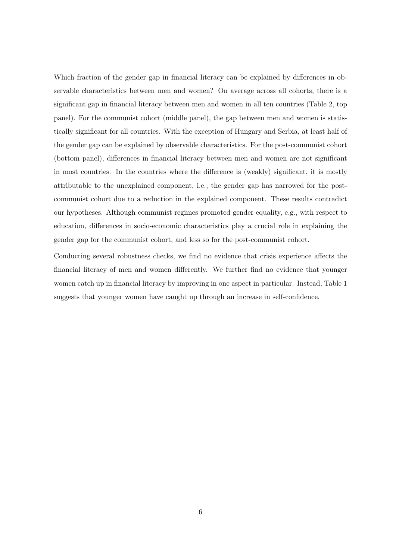Which fraction of the gender gap in financial literacy can be explained by differences in observable characteristics between men and women? On average across all cohorts, there is a significant gap in financial literacy between men and women in all ten countries (Table [2,](#page-6-0) top panel). For the communist cohort (middle panel), the gap between men and women is statistically significant for all countries. With the exception of Hungary and Serbia, at least half of the gender gap can be explained by observable characteristics. For the post-communist cohort (bottom panel), differences in financial literacy between men and women are not significant in most countries. In the countries where the difference is (weakly) significant, it is mostly attributable to the unexplained component, i.e., the gender gap has narrowed for the postcommunist cohort due to a reduction in the explained component. These results contradict our hypotheses. Although communist regimes promoted gender equality, e.g., with respect to education, differences in socio-economic characteristics play a crucial role in explaining the gender gap for the communist cohort, and less so for the post-communist cohort.

Conducting several robustness checks, we find no evidence that crisis experience affects the financial literacy of men and women differently. We further find no evidence that younger women catch up in financial literacy by improving in one aspect in particular. Instead, Table [1](#page-4-1) suggests that younger women have caught up through an increase in self-confidence.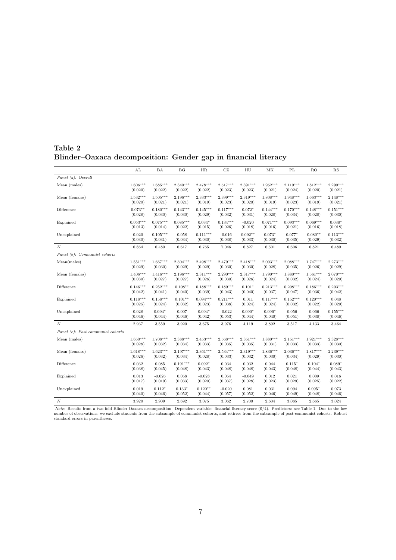### <span id="page-6-0"></span>Table 2 Blinder–Oaxaca decomposition: Gender gap in financial literacy

|                                   | AL         | BA         | BG         | HR         | CZ         | HU         | MK         | PL         | <b>RO</b>  | RS         |
|-----------------------------------|------------|------------|------------|------------|------------|------------|------------|------------|------------|------------|
| Panel (a): Overall                |            |            |            |            |            |            |            |            |            |            |
| Mean (males)                      | $1.606***$ | $1.685***$ | $2.340***$ | $2.478***$ | $2.517***$ | $2.391***$ | $1.952***$ | $2.119***$ | $1.812***$ | $2.299***$ |
|                                   | (0.020)    | (0.022)    | (0.022)    | (0.022)    | (0.023)    | (0.023)    | (0.021)    | (0.024)    | (0.020)    | (0.021)    |
| Mean (females)                    | $1.532***$ | $1.505***$ | $2.196***$ | $2.333***$ | $2.399***$ | $2.319***$ | $1.808***$ | $1.948***$ | $1.663***$ | $2.148***$ |
|                                   | (0.020)    | (0.021)    | (0.021)    | (0.019)    | (0.023)    | (0.020)    | (0.019)    | (0.023)    | (0.019)    | (0.021)    |
| Difference                        | $0.073**$  | $0.180***$ | $0.143***$ | $0.145***$ | $0.117***$ | $0.072*$   | $0.144***$ | $0.170***$ | $0.148***$ | $0.151***$ |
|                                   | (0.028)    | (0.030)    | (0.030)    | (0.029)    | (0.032)    | (0.031)    | (0.028)    | (0.034)    | (0.028)    | (0.030)    |
| Explained                         | $0.053***$ | $0.075***$ | $0.085***$ | $0.034*$   | $0.134***$ | $-0.020$   | $0.071***$ | $0.093***$ | $0.069***$ | $0.038*$   |
|                                   | (0.013)    | (0.014)    | (0.022)    | (0.015)    | (0.026)    | (0.018)    | (0.016)    | (0.021)    | (0.016)    | (0.018)    |
| Unexplained                       | 0.020      | $0.105***$ | 0.058      | $0.111***$ | $-0.016$   | $0.092**$  | $0.073*$   | $0.077*$   | $0.080**$  | $0.113***$ |
|                                   | (0.030)    | (0.031)    | (0.034)    | (0.030)    | (0.038)    | (0.033)    | (0.030)    | (0.035)    | (0.029)    | (0.032)    |
| $\cal N$                          | 6,864      | 6,480      | 6,617      | 6,765      | 7,046      | 6,827      | 6,501      | 6,606      | 6,821      | 6,489      |
| Panel (b): Communist cohorts      |            |            |            |            |            |            |            |            |            |            |
| Mean(males)                       | $1.551***$ | $1.667***$ | $2.304***$ | $2.498***$ | $2.479***$ | $2.418***$ | $2.003***$ | $2.088***$ | $1.747***$ | $2.273***$ |
|                                   | (0.029)    | (0.030)    | (0.029)    | (0.029)    | (0.030)    | (0.030)    | (0.028)    | (0.035)    | (0.026)    | (0.029)    |
| Mean (females)                    | $1.406***$ | $1.416***$ | $2.196***$ | $2.311***$ | $2.290***$ | $2.317***$ | $1.790***$ | $1.880***$ | $1.561***$ | $2.070***$ |
|                                   | (0.030)    | (0.027)    | (0.027)    | (0.026)    | (0.030)    | (0.026)    | (0.024)    | (0.032)    | (0.024)    | (0.029)    |
| Difference                        | $0.146***$ | $0.252***$ | $0.108**$  | $0.188***$ | $0.189***$ | $0.101*$   | $0.213***$ | $0.208***$ | $0.186***$ | $0.203***$ |
|                                   | (0.042)    | (0.041)    | (0.040)    | (0.039)    | (0.043)    | (0.040)    | (0.037)    | (0.047)    | (0.036)    | (0.042)    |
| Explained                         | $0.118***$ | $0.158***$ | $0.101**$  | $0.094***$ | $0.211***$ | 0.011      | $0.117***$ | $0.152***$ | $0.120***$ | 0.048      |
|                                   | (0.025)    | (0.024)    | (0.032)    | (0.023)    | (0.038)    | (0.024)    | (0.024)    | (0.032)    | (0.022)    | (0.029)    |
| Unexplained                       | 0.028      | $0.094*$   | 0.007      | $0.094*$   | $-0.022$   | $0.090*$   | $0.096*$   | 0.056      | 0.066      | $0.155***$ |
|                                   | (0.046)    | (0.044)    | (0.046)    | (0.042)    | (0.053)    | (0.044)    | (0.040)    | (0.051)    | (0.038)    | (0.046)    |
| $_{N}$                            | 2,937      | 3,559      | 3,920      | 3,675      | 3,976      | 4,119      | 3,892      | 3,517      | 4,133      | 3,464      |
| Panel (c): Post-communist cohorts |            |            |            |            |            |            |            |            |            |            |
| Mean (males)                      | $1.650***$ | $1.708***$ | $2.388***$ | $2.453***$ | $2.568***$ | $2.351***$ | $1.880***$ | $2.151***$ | $1.921***$ | $2.328***$ |
|                                   | (0.028)    | (0.032)    | (0.034)    | (0.033)    | (0.035)    | (0.035)    | (0.031)    | (0.033)    | (0.033)    | (0.030)    |
| Mean (females)                    | $1.618***$ | $1.623***$ | $2.197***$ | $2.361***$ | $2.534***$ | $2.319***$ | $1.836***$ | $2.036***$ | $1.817***$ | $2.239***$ |
|                                   | (0.026)    | (0.032)    | (0.034)    | (0.028)    | (0.033)    | (0.032)    | (0.030)    | (0.034)    | (0.029)    | (0.030)    |
| Difference                        | 0.032      | 0.085      | $0.191***$ | $0.092*$   | 0.034      | 0.032      | 0.044      | $0.115*$   | $0.104*$   | $0.089*$   |
|                                   | (0.038)    | (0.045)    | (0.048)    | (0.043)    | (0.048)    | (0.048)    | (0.043)    | (0.048)    | (0.044)    | (0.043)    |
| Explained                         | 0.013      | $-0.026$   | 0.058      | $-0.028$   | 0.054      | $-0.049$   | 0.012      | 0.021      | 0.009      | 0.016      |
|                                   | (0.017)    | (0.019)    | (0.033)    | (0.020)    | (0.037)    | (0.028)    | (0.023)    | (0.029)    | (0.025)    | (0.022)    |
| Unexplained                       | 0.019      | $0.112*$   | $0.133*$   | $0.120**$  | $-0.020$   | 0.081      | 0.031      | 0.094      | $0.095*$   | 0.073      |
|                                   | (0.040)    | (0.046)    | (0.052)    | (0.044)    | (0.057)    | (0.052)    | (0.046)    | (0.049)    | (0.048)    | (0.046)    |
| $_{N}$                            | 3,920      | 2,909      | 2,692      | 3,075      | 3,062      | 2,700      | 2,604      | 3,085      | 2,665      | 3,024      |

 $Note: Results from a two-fold Blinder-Oaxaca decomposition. Dependent variable: financial-literacy score  $(0/4)$ . Predictors: see Table 1. Due to the low number of observations, we exclude students from the subsample of communist cohorts, and retrieves from the subsample of post-communist cohorts. Robust standard errors in parentheses.$  $Note: Results from a two-fold Blinder-Oaxaca decomposition. Dependent variable: financial-literacy score  $(0/4)$ . Predictors: see Table 1. Due to the low number of observations, we exclude students from the subsample of communist cohorts, and retrieves from the subsample of post-communist cohorts. Robust standard errors in parentheses.$  $Note: Results from a two-fold Blinder-Oaxaca decomposition. Dependent variable: financial-literacy score  $(0/4)$ . Predictors: see Table 1. Due to the low number of observations, we exclude students from the subsample of communist cohorts, and retrieves from the subsample of post-communist cohorts. Robust standard errors in parentheses.$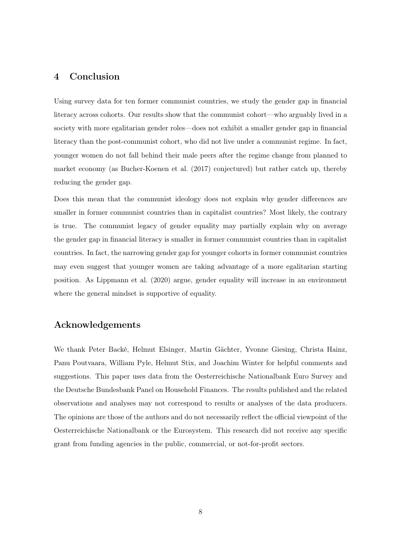## 4 Conclusion

Using survey data for ten former communist countries, we study the gender gap in financial literacy across cohorts. Our results show that the communist cohort—who arguably lived in a society with more egalitarian gender roles—does not exhibit a smaller gender gap in financial literacy than the post-communist cohort, who did not live under a communist regime. In fact, younger women do not fall behind their male peers after the regime change from planned to market economy (as [Bucher-Koenen et al.](#page-8-6) [\(2017\)](#page-8-6) conjectured) but rather catch up, thereby reducing the gender gap.

Does this mean that the communist ideology does not explain why gender differences are smaller in former communist countries than in capitalist countries? Most likely, the contrary is true. The communist legacy of gender equality may partially explain why on average the gender gap in financial literacy is smaller in former communist countries than in capitalist countries. In fact, the narrowing gender gap for younger cohorts in former communist countries may even suggest that younger women are taking advantage of a more egalitarian starting position. As [Lippmann et al.](#page-8-4) [\(2020\)](#page-8-4) argue, gender equality will increase in an environment where the general mindset is supportive of equality.

#### Acknowledgements

We thank Peter Backé, Helmut Elsinger, Martin Gächter, Yvonne Giesing, Christa Hainz, Panu Poutvaara, William Pyle, Helmut Stix, and Joachim Winter for helpful comments and suggestions. This paper uses data from the Oesterreichische Nationalbank Euro Survey and the Deutsche Bundesbank Panel on Household Finances. The results published and the related observations and analyses may not correspond to results or analyses of the data producers. The opinions are those of the authors and do not necessarily reflect the official viewpoint of the Oesterreichische Nationalbank or the Eurosystem. This research did not receive any specific grant from funding agencies in the public, commercial, or not-for-profit sectors.